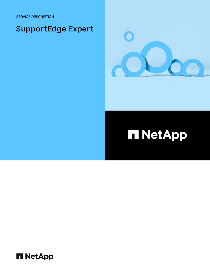SERVICE DESCRIPTION

## SupportEdge Expert



## **HI NetApp**

**H** NetApp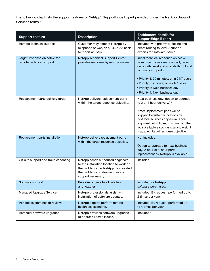The following chart lists the support features of NetApp® SupportEdge Expert provided under the NetApp Support Services terms.<sup>1</sup>

| <b>Support feature</b>                                    | <b>Description</b>                                                                                                                                                            | <b>Entitlement details for</b><br><b>SupportEdge Expert</b>                                                                                                                                                                                                                                                                          |
|-----------------------------------------------------------|-------------------------------------------------------------------------------------------------------------------------------------------------------------------------------|--------------------------------------------------------------------------------------------------------------------------------------------------------------------------------------------------------------------------------------------------------------------------------------------------------------------------------------|
| Remote technical support                                  | Customer may contact NetApp by<br>telephone or web on a 24/7/365 basis<br>to report an issue.                                                                                 | Included with priority queueing and<br>direct routing to level 2 support<br>experts for software issues.                                                                                                                                                                                                                             |
| Target response objective for<br>remote technical support | NetApp Technical Support Center<br>provides response by remote means.                                                                                                         | Initial technical response objective<br>from time of customer contact, based<br>on priority level and availability of local<br>language support. <sup>2</sup><br>• Priority 1: 30 minutes; on a 24/7 basis<br>• Priority 2: 2 hours; on a 24/7 basis<br>• Priority 3: Next business day<br>• Priority 4: Next business day           |
| Replacement parts delivery target                         | NetApp delivers replacement parts<br>within the target response objective.                                                                                                    | Next business day; option to upgrade<br>to 2 or 4 hour delivery. <sup>3, 4</sup><br>Note: Replacement parts will be<br>shipped to customer locations for<br>next local business day arrival. Local<br>shipment cutoff times, customs, or other<br>logistics factors such as size and weight<br>may affect target response objective. |
| Replacement parts installation                            | NetApp delivers replacement parts<br>within the target response objective.                                                                                                    | Not included.<br>Option to upgrade to next-business-<br>day, 2-hour or 4-hour parts<br>replacement by NetApp is available. <sup>5</sup>                                                                                                                                                                                              |
| On-site support and troubleshooting                       | NetApp sends authorized engineers<br>to the installation location to work on<br>the problem after NetApp has isolated<br>the problem and deemed on-site<br>support necessary. | Included.                                                                                                                                                                                                                                                                                                                            |
| Software support                                          | Provides access to all patches<br>and features.                                                                                                                               | Included for NetApp<br>software purchased.                                                                                                                                                                                                                                                                                           |
| Managed Upgrade Service                                   | NetApp professionals assist with<br>installation of software updates.                                                                                                         | Included; By request, performed up to<br>2 times per year.                                                                                                                                                                                                                                                                           |
| Periodic system health reviews                            | NetApp experts perform remote<br>health assessments.                                                                                                                          | Included; By request, performed up<br>to 4 times per year.                                                                                                                                                                                                                                                                           |
| Remedial software upgrades                                | NetApp provides software upgrades<br>to address known issues.                                                                                                                 | Included. <sup>6</sup>                                                                                                                                                                                                                                                                                                               |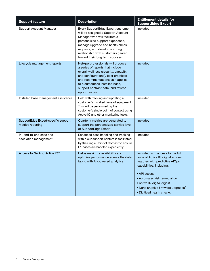| <b>Support feature</b>                                   | <b>Description</b>                                                                                                                                                                                                                                                                         | <b>Entitlement details for</b><br><b>SupportEdge Expert</b>                                                                                                                                                                                                                                       |
|----------------------------------------------------------|--------------------------------------------------------------------------------------------------------------------------------------------------------------------------------------------------------------------------------------------------------------------------------------------|---------------------------------------------------------------------------------------------------------------------------------------------------------------------------------------------------------------------------------------------------------------------------------------------------|
| Support Account Manager                                  | Every SupportEdge Expert customer<br>will be assigned a Support Account<br>Manager who will facilitate a<br>personalized support experience,<br>manage upgrade and health check<br>requests, and develop a strong<br>relationship with customers geared<br>toward their long term success. | Included.                                                                                                                                                                                                                                                                                         |
| Lifecycle management reports                             | NetApp professionals will produce<br>a series of reports that include<br>overall wellness (security, capacity,<br>and configurations), best practices<br>and recommendations as it applies<br>to a customer's installed base,<br>support contract data, and refresh<br>opportunities.      | Included.                                                                                                                                                                                                                                                                                         |
| Installed base management assistance                     | Help with tracking and updating a<br>customer's installed base of equipment.<br>This will be performed by the<br>customer's single point of contact using<br>Active IQ and other monitoring tools.                                                                                         | Included.                                                                                                                                                                                                                                                                                         |
| SupportEdge Expert-specific support<br>metrics reporting | Quarterly metrics are generated to<br>support the personalized service level<br>of SupportEdge Expert.                                                                                                                                                                                     | Included.                                                                                                                                                                                                                                                                                         |
| P1 end-to-end case and<br>escalation management          | Enhanced case handling and tracking<br>within our support centers is facilitated<br>by the Single Point of Contact to ensure<br>P1 cases are handled expediently.                                                                                                                          | Included.                                                                                                                                                                                                                                                                                         |
| Access to NetApp Active IQ®                              | Helps maximize availability and<br>optimize performance across the data<br>fabric with Al-powered analytics.                                                                                                                                                                               | Included with access to the full<br>suite of Active IQ digital advisor<br>features with predictive AIOps<br>capabilities, including:<br>• API access<br>• Automated risk remediation<br>• Active IQ digital digest<br>• Nondisruptive firmware upgrades <sup>7</sup><br>• Digitized health checks |